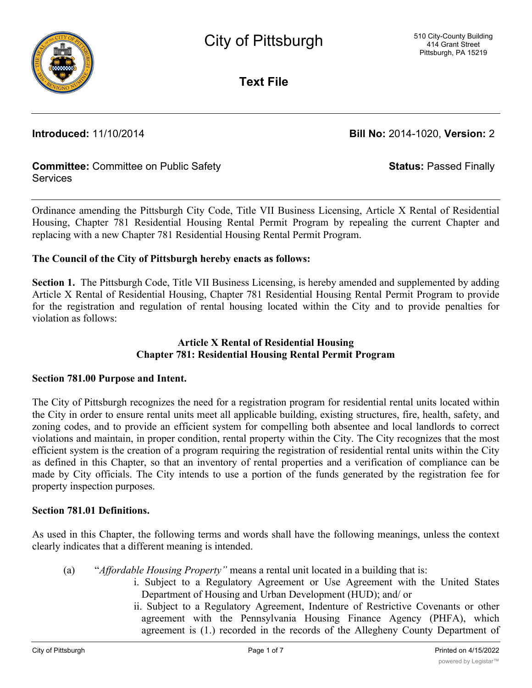

**Text File**

**Introduced:** 11/10/2014 **Bill No:** 2014-1020, **Version:** 2

**Status:** Passed Finally

## **Committee:** Committee on Public Safety **Services**

Ordinance amending the Pittsburgh City Code, Title VII Business Licensing, Article X Rental of Residential Housing, Chapter 781 Residential Housing Rental Permit Program by repealing the current Chapter and replacing with a new Chapter 781 Residential Housing Rental Permit Program.

## **The Council of the City of Pittsburgh hereby enacts as follows:**

**Section 1.** The Pittsburgh Code, Title VII Business Licensing, is hereby amended and supplemented by adding Article X Rental of Residential Housing, Chapter 781 Residential Housing Rental Permit Program to provide for the registration and regulation of rental housing located within the City and to provide penalties for violation as follows:

# **Article X Rental of Residential Housing Chapter 781: Residential Housing Rental Permit Program**

## **Section 781.00 Purpose and Intent.**

The City of Pittsburgh recognizes the need for a registration program for residential rental units located within the City in order to ensure rental units meet all applicable building, existing structures, fire, health, safety, and zoning codes, and to provide an efficient system for compelling both absentee and local landlords to correct violations and maintain, in proper condition, rental property within the City. The City recognizes that the most efficient system is the creation of a program requiring the registration of residential rental units within the City as defined in this Chapter, so that an inventory of rental properties and a verification of compliance can be made by City officials. The City intends to use a portion of the funds generated by the registration fee for property inspection purposes.

## **Section 781.01 Definitions.**

As used in this Chapter, the following terms and words shall have the following meanings, unless the context clearly indicates that a different meaning is intended.

- (a) "*Affordable Housing Property"* means a rental unit located in a building that is:
	- i. Subject to a Regulatory Agreement or Use Agreement with the United States Department of Housing and Urban Development (HUD); and/ or
		- ii. Subject to a Regulatory Agreement, Indenture of Restrictive Covenants or other agreement with the Pennsylvania Housing Finance Agency (PHFA), which agreement is (1.) recorded in the records of the Allegheny County Department of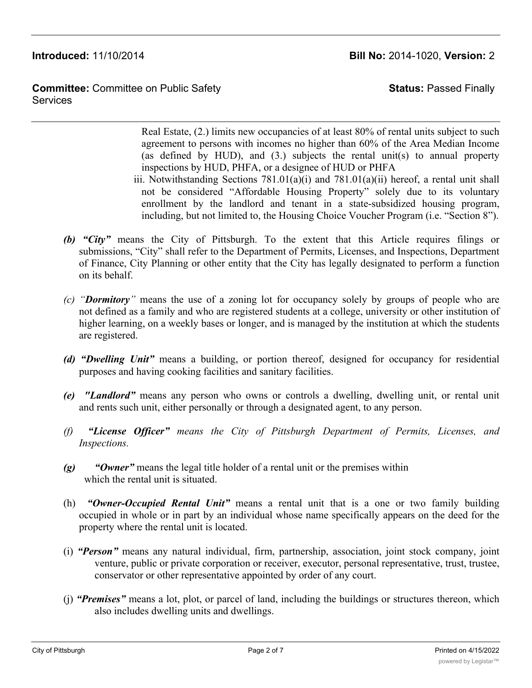**Committee:** Committee on Public Safety **Services** 

**Status:** Passed Finally

Real Estate, (2.) limits new occupancies of at least 80% of rental units subject to such agreement to persons with incomes no higher than 60% of the Area Median Income (as defined by HUD), and (3.) subjects the rental unit(s) to annual property inspections by HUD, PHFA, or a designee of HUD or PHFA

- iii. Notwithstanding Sections  $781.01(a)(i)$  and  $781.01(a)(ii)$  hereof, a rental unit shall not be considered "Affordable Housing Property" solely due to its voluntary enrollment by the landlord and tenant in a state-subsidized housing program, including, but not limited to, the Housing Choice Voucher Program (i.e. "Section 8").
- *(b) "City"* means the City of Pittsburgh. To the extent that this Article requires filings or submissions, "City" shall refer to the Department of Permits, Licenses, and Inspections, Department of Finance, City Planning or other entity that the City has legally designated to perform a function on its behalf.
- *(c) "Dormitory"* means the use of a zoning lot for occupancy solely by groups of people who are not defined as a family and who are registered students at a college, university or other institution of higher learning, on a weekly bases or longer, and is managed by the institution at which the students are registered.
- *(d) "Dwelling Unit"* means a building, or portion thereof, designed for occupancy for residential purposes and having cooking facilities and sanitary facilities.
- *(e) "Landlord"* means any person who owns or controls a dwelling, dwelling unit, or rental unit and rents such unit, either personally or through a designated agent, to any person.
- *(f) "License Officer" means the City of Pittsburgh Department of Permits, Licenses, and Inspections.*
- *(g) "Owner"* means the legal title holder of a rental unit or the premises within which the rental unit is situated.
- (h) *"Owner-Occupied Rental Unit"* means a rental unit that is a one or two family building occupied in whole or in part by an individual whose name specifically appears on the deed for the property where the rental unit is located.
- (i) *"Person"* means any natural individual, firm, partnership, association, joint stock company, joint venture, public or private corporation or receiver, executor, personal representative, trust, trustee, conservator or other representative appointed by order of any court.
- (j) *"Premises"* means a lot, plot, or parcel of land, including the buildings or structures thereon, which also includes dwelling units and dwellings.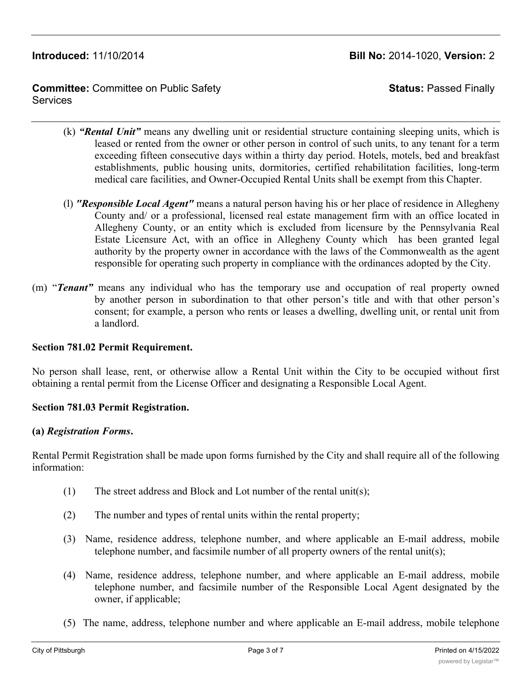**Committee:** Committee on Public Safety **Services** 

**Status:** Passed Finally

- (k) *"Rental Unit"* means any dwelling unit or residential structure containing sleeping units, which is leased or rented from the owner or other person in control of such units, to any tenant for a term exceeding fifteen consecutive days within a thirty day period. Hotels, motels, bed and breakfast establishments, public housing units, dormitories, certified rehabilitation facilities, long-term medical care facilities, and Owner-Occupied Rental Units shall be exempt from this Chapter.
- (l) *"Responsible Local Agent"* means a natural person having his or her place of residence in Allegheny County and/ or a professional, licensed real estate management firm with an office located in Allegheny County, or an entity which is excluded from licensure by the Pennsylvania Real Estate Licensure Act, with an office in Allegheny County which has been granted legal authority by the property owner in accordance with the laws of the Commonwealth as the agent responsible for operating such property in compliance with the ordinances adopted by the City.
- (m) "*Tenant"* means any individual who has the temporary use and occupation of real property owned by another person in subordination to that other person's title and with that other person's consent; for example, a person who rents or leases a dwelling, dwelling unit, or rental unit from a landlord.

# **Section 781.02 Permit Requirement.**

No person shall lease, rent, or otherwise allow a Rental Unit within the City to be occupied without first obtaining a rental permit from the License Officer and designating a Responsible Local Agent.

## **Section 781.03 Permit Registration.**

## **(a)** *Registration Forms***.**

Rental Permit Registration shall be made upon forms furnished by the City and shall require all of the following information:

- (1) The street address and Block and Lot number of the rental unit(s);
- (2) The number and types of rental units within the rental property;
- (3) Name, residence address, telephone number, and where applicable an E-mail address, mobile telephone number, and facsimile number of all property owners of the rental unit(s);
- (4) Name, residence address, telephone number, and where applicable an E-mail address, mobile telephone number, and facsimile number of the Responsible Local Agent designated by the owner, if applicable;
- (5) The name, address, telephone number and where applicable an E-mail address, mobile telephone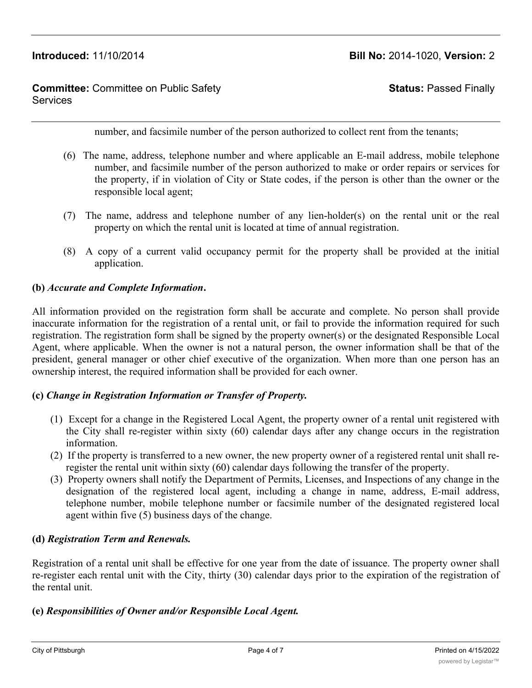## **Committee:** Committee on Public Safety **Services**

**Status:** Passed Finally

number, and facsimile number of the person authorized to collect rent from the tenants;

- (6) The name, address, telephone number and where applicable an E-mail address, mobile telephone number, and facsimile number of the person authorized to make or order repairs or services for the property, if in violation of City or State codes, if the person is other than the owner or the responsible local agent;
- (7) The name, address and telephone number of any lien-holder(s) on the rental unit or the real property on which the rental unit is located at time of annual registration.
- (8) A copy of a current valid occupancy permit for the property shall be provided at the initial application.

## **(b)** *Accurate and Complete Information***.**

All information provided on the registration form shall be accurate and complete. No person shall provide inaccurate information for the registration of a rental unit, or fail to provide the information required for such registration. The registration form shall be signed by the property owner(s) or the designated Responsible Local Agent, where applicable. When the owner is not a natural person, the owner information shall be that of the president, general manager or other chief executive of the organization. When more than one person has an ownership interest, the required information shall be provided for each owner.

## **(c)** *Change in Registration Information or Transfer of Property.*

- (1) Except for a change in the Registered Local Agent, the property owner of a rental unit registered with the City shall re-register within sixty (60) calendar days after any change occurs in the registration information.
- (2) If the property is transferred to a new owner, the new property owner of a registered rental unit shall reregister the rental unit within sixty (60) calendar days following the transfer of the property.
- (3) Property owners shall notify the Department of Permits, Licenses, and Inspections of any change in the designation of the registered local agent, including a change in name, address, E-mail address, telephone number, mobile telephone number or facsimile number of the designated registered local agent within five (5) business days of the change.

## **(d)** *Registration Term and Renewals.*

Registration of a rental unit shall be effective for one year from the date of issuance. The property owner shall re-register each rental unit with the City, thirty (30) calendar days prior to the expiration of the registration of the rental unit.

## **(e)** *Responsibilities of Owner and/or Responsible Local Agent.*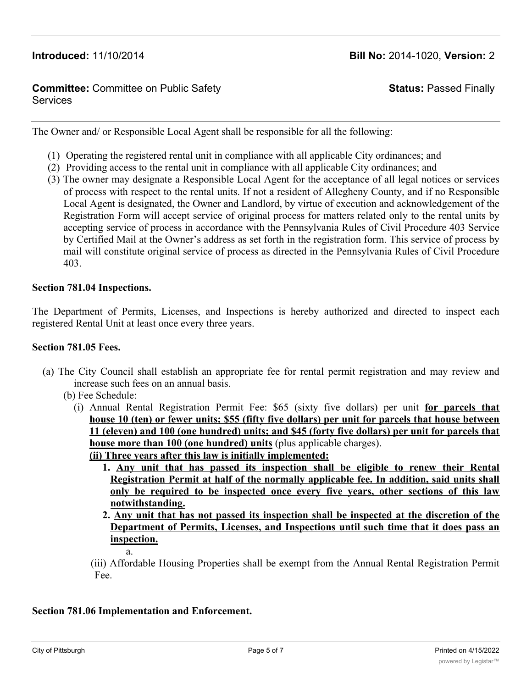## **Committee:** Committee on Public Safety **Services**

# **Status:** Passed Finally

The Owner and/ or Responsible Local Agent shall be responsible for all the following:

- (1) Operating the registered rental unit in compliance with all applicable City ordinances; and
- (2) Providing access to the rental unit in compliance with all applicable City ordinances; and
- (3) The owner may designate a Responsible Local Agent for the acceptance of all legal notices or services of process with respect to the rental units. If not a resident of Allegheny County, and if no Responsible Local Agent is designated, the Owner and Landlord, by virtue of execution and acknowledgement of the Registration Form will accept service of original process for matters related only to the rental units by accepting service of process in accordance with the Pennsylvania Rules of Civil Procedure 403 Service by Certified Mail at the Owner's address as set forth in the registration form. This service of process by mail will constitute original service of process as directed in the Pennsylvania Rules of Civil Procedure 403.

## **Section 781.04 Inspections.**

The Department of Permits, Licenses, and Inspections is hereby authorized and directed to inspect each registered Rental Unit at least once every three years.

#### **Section 781.05 Fees.**

- (a) The City Council shall establish an appropriate fee for rental permit registration and may review and increase such fees on an annual basis.
	- (b) Fee Schedule:
		- (i) Annual Rental Registration Permit Fee: \$65 (sixty five dollars) per unit **for parcels that house 10 (ten) or fewer units; \$55 (fifty five dollars) per unit for parcels that house between 11 (eleven) and 100 (one hundred) units; and \$45 (forty five dollars) per unit for parcels that house more than 100 (one hundred) units** (plus applicable charges). **(ii) Three years after this law is initially implemented:**
			- **1. Any unit that has passed its inspection shall be eligible to renew their Rental Registration Permit at half of the normally applicable fee. In addition, said units shall only be required to be inspected once every five years, other sections of this law notwithstanding.**
			- **2. Any unit that has not passed its inspection shall be inspected at the discretion of the Department of Permits, Licenses, and Inspections until such time that it does pass an inspection.**
				- a.
				-

(iii) Affordable Housing Properties shall be exempt from the Annual Rental Registration Permit Fee.

## **Section 781.06 Implementation and Enforcement.**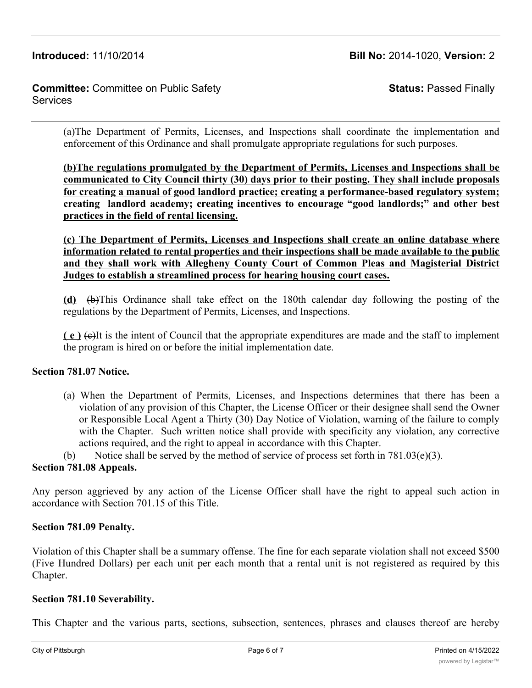## **Committee:** Committee on Public Safety Services

**Status:** Passed Finally

(a)The Department of Permits, Licenses, and Inspections shall coordinate the implementation and enforcement of this Ordinance and shall promulgate appropriate regulations for such purposes.

**(b)The regulations promulgated by the Department of Permits, Licenses and Inspections shall be communicated to City Council thirty (30) days prior to their posting. They shall include proposals for creating a manual of good landlord practice; creating a performance-based regulatory system; creating landlord academy; creating incentives to encourage "good landlords;" and other best practices in the field of rental licensing.**

## **(c) The Department of Permits, Licenses and Inspections shall create an online database where information related to rental properties and their inspections shall be made available to the public and they shall work with Allegheny County Court of Common Pleas and Magisterial District Judges to establish a streamlined process for hearing housing court cases.**

**(d)** (b)This Ordinance shall take effect on the 180th calendar day following the posting of the regulations by the Department of Permits, Licenses, and Inspections.

**( e )** (c)It is the intent of Council that the appropriate expenditures are made and the staff to implement the program is hired on or before the initial implementation date.

# **Section 781.07 Notice.**

(a) When the Department of Permits, Licenses, and Inspections determines that there has been a violation of any provision of this Chapter, the License Officer or their designee shall send the Owner or Responsible Local Agent a Thirty (30) Day Notice of Violation, warning of the failure to comply with the Chapter. Such written notice shall provide with specificity any violation, any corrective actions required, and the right to appeal in accordance with this Chapter.

(b) Notice shall be served by the method of service of process set forth in  $781.03(e)(3)$ .

# **Section 781.08 Appeals.**

Any person aggrieved by any action of the License Officer shall have the right to appeal such action in accordance with Section 701.15 of this Title.

# **Section 781.09 Penalty.**

Violation of this Chapter shall be a summary offense. The fine for each separate violation shall not exceed \$500 (Five Hundred Dollars) per each unit per each month that a rental unit is not registered as required by this Chapter.

## **Section 781.10 Severability.**

This Chapter and the various parts, sections, subsection, sentences, phrases and clauses thereof are hereby